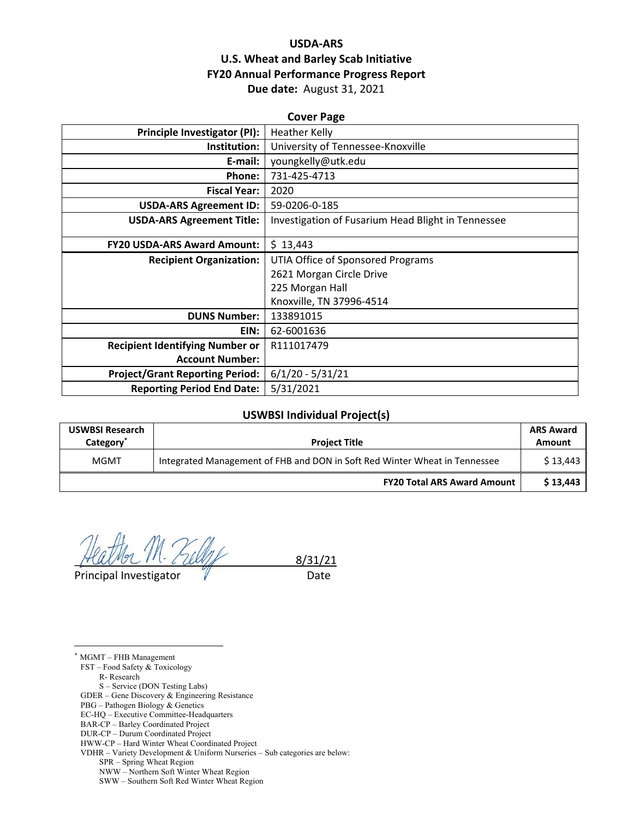# **USDA‐ARS U.S. Wheat and Barley Scab Initiative FY20 Annual Performance Progress Report Due date:** August 31, 2021

| <b>Cover Page</b>                      |                                                    |  |  |  |
|----------------------------------------|----------------------------------------------------|--|--|--|
| <b>Principle Investigator (PI):</b>    | <b>Heather Kelly</b>                               |  |  |  |
| Institution:                           | University of Tennessee-Knoxville                  |  |  |  |
| E-mail:                                | youngkelly@utk.edu                                 |  |  |  |
| <b>Phone:</b>                          | 731-425-4713                                       |  |  |  |
| <b>Fiscal Year:</b>                    | 2020                                               |  |  |  |
| <b>USDA-ARS Agreement ID:</b>          | 59-0206-0-185                                      |  |  |  |
| <b>USDA-ARS Agreement Title:</b>       | Investigation of Fusarium Head Blight in Tennessee |  |  |  |
|                                        |                                                    |  |  |  |
| <b>FY20 USDA-ARS Award Amount:</b>     | \$13,443                                           |  |  |  |
| <b>Recipient Organization:</b>         | UTIA Office of Sponsored Programs                  |  |  |  |
|                                        | 2621 Morgan Circle Drive                           |  |  |  |
|                                        | 225 Morgan Hall                                    |  |  |  |
|                                        | Knoxville, TN 37996-4514                           |  |  |  |
| <b>DUNS Number:</b>                    | 133891015                                          |  |  |  |
| EIN:                                   | 62-6001636                                         |  |  |  |
| <b>Recipient Identifying Number or</b> | R111017479                                         |  |  |  |
| <b>Account Number:</b>                 |                                                    |  |  |  |
| <b>Project/Grant Reporting Period:</b> | $6/1/20 - 5/31/21$                                 |  |  |  |
| <b>Reporting Period End Date:</b>      | 5/31/2021                                          |  |  |  |

### **USWBSI Individual Project(s)**

| <b>USWBSI Research</b><br>Category <sup>®</sup> | <b>Project Title</b>                                                       | <b>ARS Award</b><br>Amount |
|-------------------------------------------------|----------------------------------------------------------------------------|----------------------------|
| MGMT                                            | Integrated Management of FHB and DON in Soft Red Winter Wheat in Tennessee | \$13.443                   |
|                                                 | <b>FY20 Total ARS Award Amount</b>                                         | \$13.443                   |

Principal Investigator **Was a Contract Contract Contract Contract Contract Contract Contract Contract Contract** 

\_ 8/31/21

\* MGMT – FHB Management FST – Food Safety & Toxicology

<u>.</u>

R- Research

S – Service (DON Testing Labs)

GDER – Gene Discovery & Engineering Resistance

PBG – Pathogen Biology & Genetics

EC-HQ – Executive Committee-Headquarters

BAR-CP – Barley Coordinated Project

HWW-CP – Hard Winter Wheat Coordinated Project VDHR – Variety Development & Uniform Nurseries – Sub categories are below:

SPR – Spring Wheat Region

NWW – Northern Soft Winter Wheat Region

SWW – Southern Soft Red Winter Wheat Region

DUR-CP – Durum Coordinated Project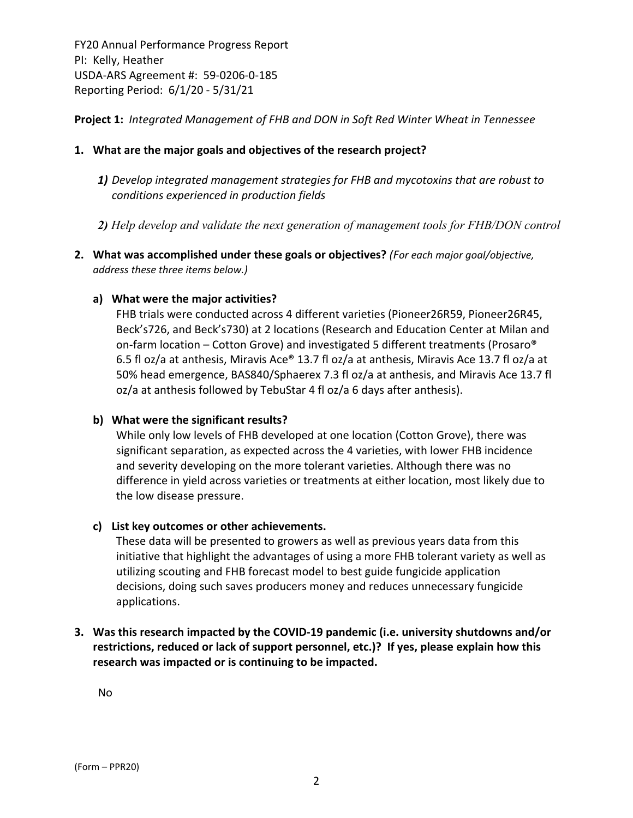**Project 1:** *Integrated Management of FHB and DON in Soft Red Winter Wheat in Tennessee*

## **1. What are the major goals and objectives of the research project?**

- *1) Develop integrated management strategies for FHB and mycotoxins that are robust to conditions experienced in production fields*
- *2) Help develop and validate the next generation of management tools for FHB/DON control*
- **2. What was accomplished under these goals or objectives?** *(For each major goal/objective, address these three items below.)*

### **a) What were the major activities?**

FHB trials were conducted across 4 different varieties (Pioneer26R59, Pioneer26R45, Beck's726, and Beck's730) at 2 locations (Research and Education Center at Milan and on‐farm location – Cotton Grove) and investigated 5 different treatments (Prosaro® 6.5 fl oz/a at anthesis, Miravis Ace® 13.7 fl oz/a at anthesis, Miravis Ace 13.7 fl oz/a at 50% head emergence, BAS840/Sphaerex 7.3 fl oz/a at anthesis, and Miravis Ace 13.7 fl oz/a at anthesis followed by TebuStar 4 fl oz/a 6 days after anthesis).

### **b) What were the significant results?**

While only low levels of FHB developed at one location (Cotton Grove), there was significant separation, as expected across the 4 varieties, with lower FHB incidence and severity developing on the more tolerant varieties. Although there was no difference in yield across varieties or treatments at either location, most likely due to the low disease pressure.

### **c) List key outcomes or other achievements.**

These data will be presented to growers as well as previous years data from this initiative that highlight the advantages of using a more FHB tolerant variety as well as utilizing scouting and FHB forecast model to best guide fungicide application decisions, doing such saves producers money and reduces unnecessary fungicide applications.

# **3. Was this research impacted by the COVID‐19 pandemic (i.e. university shutdowns and/or restrictions, reduced or lack of support personnel, etc.)? If yes, please explain how this research was impacted or is continuing to be impacted.**

No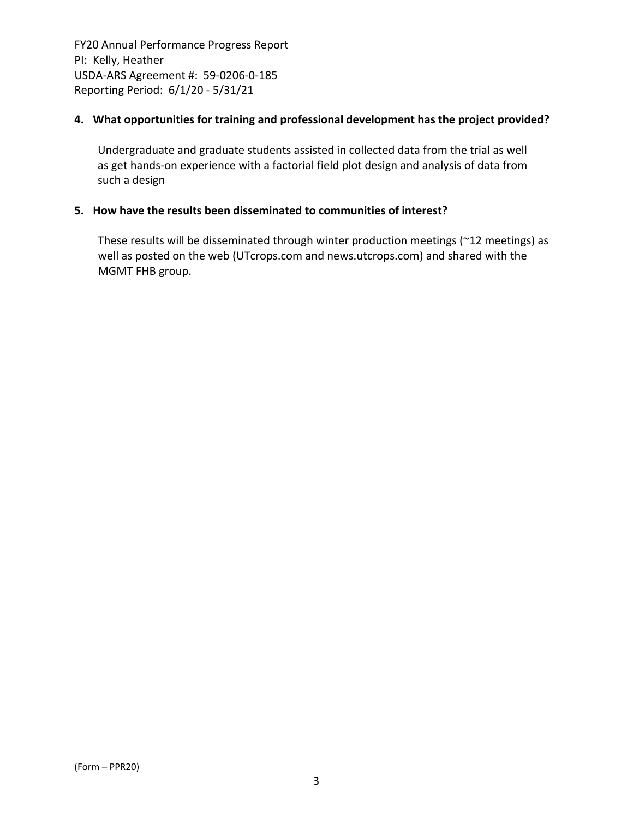## **4. What opportunities for training and professional development has the project provided?**

Undergraduate and graduate students assisted in collected data from the trial as well as get hands-on experience with a factorial field plot design and analysis of data from such a design

## **5. How have the results been disseminated to communities of interest?**

These results will be disseminated through winter production meetings (~12 meetings) as well as posted on the web (UTcrops.com and news.utcrops.com) and shared with the MGMT FHB group.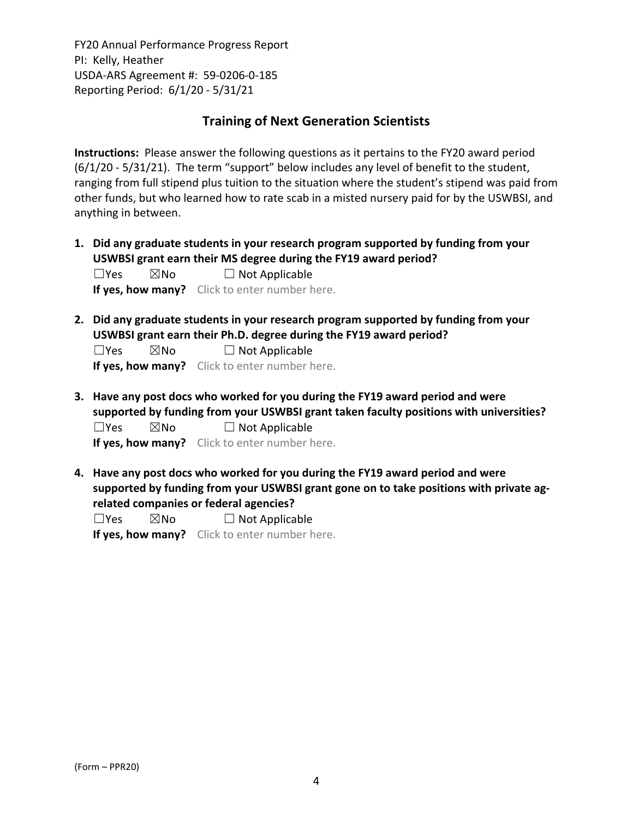# **Training of Next Generation Scientists**

**Instructions:** Please answer the following questions as it pertains to the FY20 award period (6/1/20 ‐ 5/31/21). The term "support" below includes any level of benefit to the student, ranging from full stipend plus tuition to the situation where the student's stipend was paid from other funds, but who learned how to rate scab in a misted nursery paid for by the USWBSI, and anything in between.

**1. Did any graduate students in your research program supported by funding from your USWBSI grant earn their MS degree during the FY19 award period?**  $\Box$ Yes  $\boxtimes$ No  $\Box$  Not Applicable

**If yes, how many?** Click to enter number here.

**2. Did any graduate students in your research program supported by funding from your USWBSI grant earn their Ph.D. degree during the FY19 award period?**

 $\Box$ Yes  $\boxtimes$ No  $\Box$  Not Applicable

**If yes, how many?** Click to enter number here.

**3. Have any post docs who worked for you during the FY19 award period and were supported by funding from your USWBSI grant taken faculty positions with universities?**  $\Box$ Yes  $\boxtimes$ No  $\Box$  Not Applicable

**If yes, how many?** Click to enter number here.

**4. Have any post docs who worked for you during the FY19 award period and were supported by funding from your USWBSI grant gone on to take positions with private ag‐ related companies or federal agencies?**

 $\square$ Yes  $\square$ No  $\square$  Not Applicable

**If yes, how many?** Click to enter number here.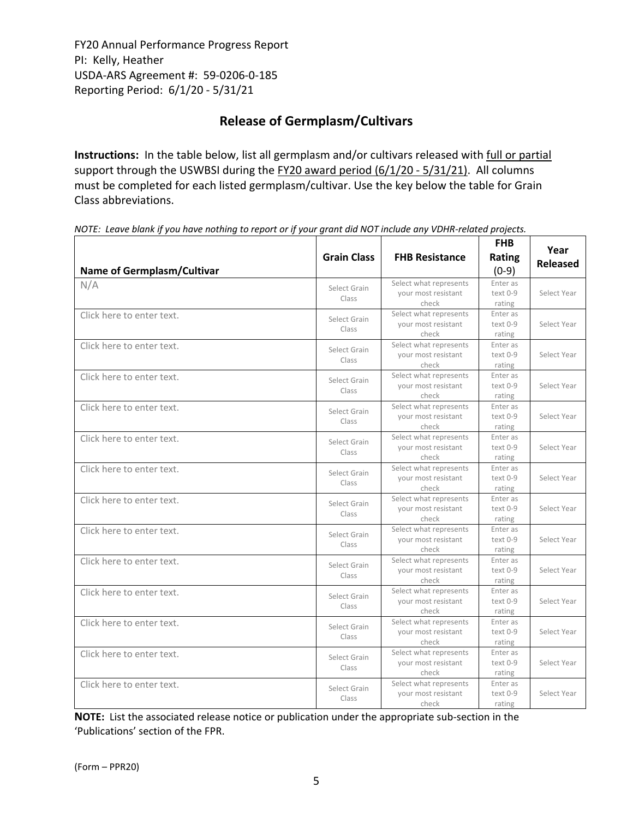# **Release of Germplasm/Cultivars**

**Instructions:** In the table below, list all germplasm and/or cultivars released with full or partial support through the USWBSI during the FY20 award period (6/1/20 - 5/31/21). All columns must be completed for each listed germplasm/cultivar. Use the key below the table for Grain Class abbreviations. 

| <b>Name of Germplasm/Cultivar</b> | <b>Grain Class</b>    | <b>FHB Resistance</b>                                  | <b>FHB</b><br>Rating<br>$(0-9)$ | Year<br><b>Released</b> |
|-----------------------------------|-----------------------|--------------------------------------------------------|---------------------------------|-------------------------|
| N/A                               | Select Grain<br>Class | Select what represents<br>your most resistant<br>check | Enter as<br>text 0-9<br>rating  | Select Year             |
| Click here to enter text.         | Select Grain<br>Class | Select what represents<br>your most resistant<br>check | Enter as<br>text 0-9<br>rating  | Select Year             |
| Click here to enter text.         | Select Grain<br>Class | Select what represents<br>your most resistant<br>check | Enter as<br>text 0-9<br>rating  | Select Year             |
| Click here to enter text.         | Select Grain<br>Class | Select what represents<br>your most resistant<br>check | Enter as<br>text 0-9<br>rating  | Select Year             |
| Click here to enter text.         | Select Grain<br>Class | Select what represents<br>your most resistant<br>check | Enter as<br>text 0-9<br>rating  | Select Year             |
| Click here to enter text.         | Select Grain<br>Class | Select what represents<br>your most resistant<br>check | Enter as<br>text 0-9<br>rating  | Select Year             |
| Click here to enter text.         | Select Grain<br>Class | Select what represents<br>your most resistant<br>check | Enter as<br>text 0-9<br>rating  | Select Year             |
| Click here to enter text.         | Select Grain<br>Class | Select what represents<br>your most resistant<br>check | Enter as<br>text 0-9<br>rating  | Select Year             |
| Click here to enter text.         | Select Grain<br>Class | Select what represents<br>your most resistant<br>check | Enter as<br>text 0-9<br>rating  | Select Year             |
| Click here to enter text.         | Select Grain<br>Class | Select what represents<br>your most resistant<br>check | Enter as<br>text 0-9<br>rating  | Select Year             |
| Click here to enter text.         | Select Grain<br>Class | Select what represents<br>your most resistant<br>check | Enter as<br>text 0-9<br>rating  | Select Year             |
| Click here to enter text.         | Select Grain<br>Class | Select what represents<br>your most resistant<br>check | Enter as<br>text 0-9<br>rating  | Select Year             |
| Click here to enter text.         | Select Grain<br>Class | Select what represents<br>your most resistant<br>check | Enter as<br>text 0-9<br>rating  | Select Year             |
| Click here to enter text.         | Select Grain<br>Class | Select what represents<br>your most resistant<br>check | Enter as<br>text 0-9<br>rating  | Select Year             |

NOTE: Leave blank if you have nothing to report or if your grant did NOT include any VDHR-related projects.

**NOTE:** List the associated release notice or publication under the appropriate sub-section in the 'Publications' section of the FPR.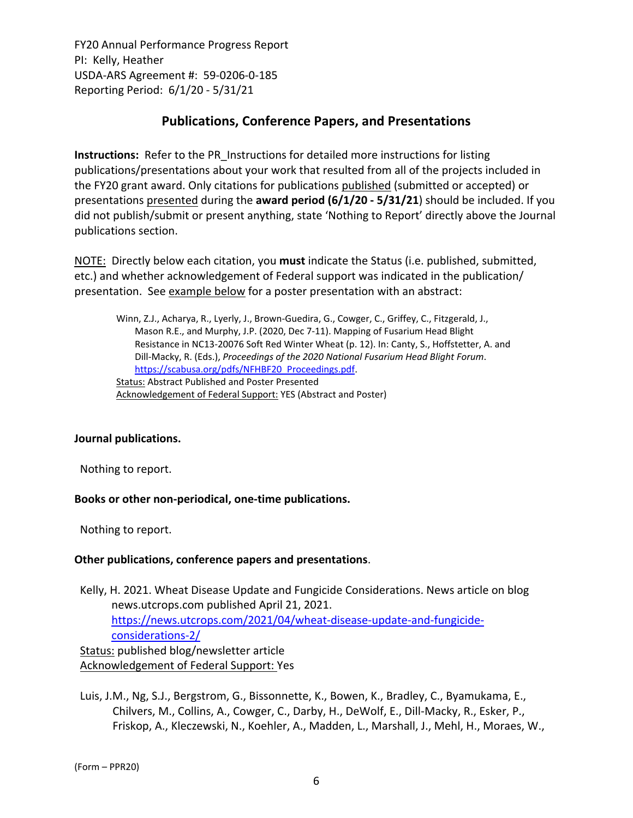# **Publications, Conference Papers, and Presentations**

**Instructions:** Refer to the PR\_Instructions for detailed more instructions for listing publications/presentations about your work that resulted from all of the projects included in the FY20 grant award. Only citations for publications published (submitted or accepted) or presentations presented during the **award period (6/1/20 ‐ 5/31/21**) should be included. If you did not publish/submit or present anything, state 'Nothing to Report' directly above the Journal publications section.

NOTE: Directly below each citation, you **must** indicate the Status (i.e. published, submitted, etc.) and whether acknowledgement of Federal support was indicated in the publication/ presentation. See example below for a poster presentation with an abstract:

Winn, Z.J., Acharya, R., Lyerly, J., Brown‐Guedira, G., Cowger, C., Griffey, C., Fitzgerald, J., Mason R.E., and Murphy, J.P. (2020, Dec 7‐11). Mapping of Fusarium Head Blight Resistance in NC13‐20076 Soft Red Winter Wheat (p. 12). In: Canty, S., Hoffstetter, A. and Dill‐Macky, R. (Eds.), *Proceedings of the 2020 National Fusarium Head Blight Forum*. https://scabusa.org/pdfs/NFHBF20\_Proceedings.pdf. Status: Abstract Published and Poster Presented Acknowledgement of Federal Support: YES (Abstract and Poster)

# **Journal publications.**

Nothing to report.

### **Books or other non‐periodical, one‐time publications.**

Nothing to report.

### **Other publications, conference papers and presentations**.

Kelly, H. 2021. Wheat Disease Update and Fungicide Considerations. News article on blog news.utcrops.com published April 21, 2021. https://news.utcrops.com/2021/04/wheat-disease-update-and-fungicideconsiderations‐2/ Status: published blog/newsletter article Acknowledgement of Federal Support: Yes

Luis, J.M., Ng, S.J., Bergstrom, G., Bissonnette, K., Bowen, K., Bradley, C., Byamukama, E., Chilvers, M., Collins, A., Cowger, C., Darby, H., DeWolf, E., Dill‐Macky, R., Esker, P., Friskop, A., Kleczewski, N., Koehler, A., Madden, L., Marshall, J., Mehl, H., Moraes, W.,